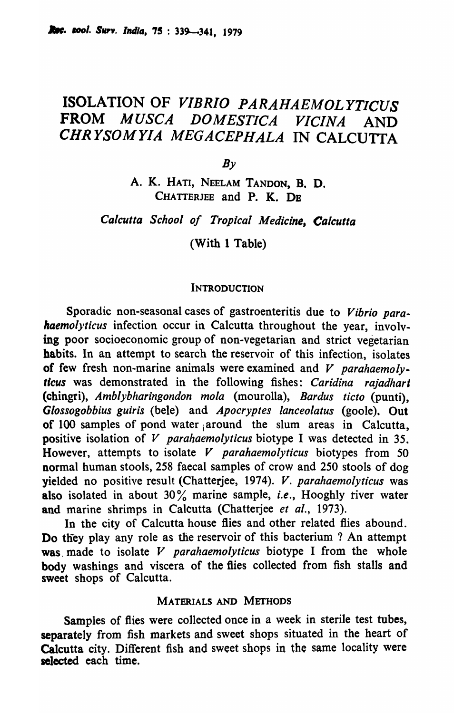# ISOLATION OF *VIBRIO PARAHAEMOLYTICUS*  FROM *MUSCA DOMESTICA VICINA* AND *CHRYSOMYIA MEGACEPHALA* IN CALCUTTA

 $Bv$ 

A. K. HATI, NEELAM TANDON, B. D. CHATTERJEE and P. K. DR

*Calcutta School of Tropical Medicine, Calcutta* 

(With 1 Table)

#### **INTRODUCTION**

Sporadic non-seasonal cases of gastroenteritis due to *Vibrio parahaemolyticus* infection occur in Calcutta throughout the year, involving poor socioeconomic group of non-vegetarian and strict vegetarian habits. In an attempt to search the reservoir of this infection, isolates of few fresh non-marine animals were examined and *V parahaemolyticus* was demonstrated in the following fishes: *Caridina rajadhari*  (chingri), *Amblybharingondon mola* (mourolla), *Bardus tieto* (punti), *Glossogobbius guiris* (bete) and *Apoeryptes laneeolatus* (goole). Out of 100 samples of pond water ,around the slum areas in Calcutta, positive isolation of *V parahaemolyticus* biotype I was detected in 35. However, attempts to isolate *V parahaemolyticus* biotypes from 50 normal human stools, 258 faecal samples of crow and 250 stools of dog yielded no positive result (Chatterjee, 1974). V. *parahaemolytieus* was also isolated in about 30% marine sample, *i.e.,* Hooghly river water and marine shrimps in Calcutta (Chatterjee *et al., 1973).* 

In the city of Calcutta house flies and other related flies abound. Do they play any role as the reservoir of this bacterium ? An attempt was made to isolate V *parahaemolyticus* biotype I from the whole body washings and viscera of the flies collected from fish stalls and sweet shops of Calcutta.

### MATERIALS AND METHODS

Samples of flies were collected once in a week in sterile test tubes, separately from fish markets and sweet shops situated in the heart of Calcutta city. Different fish and sweet shops in the same locality were selected each time.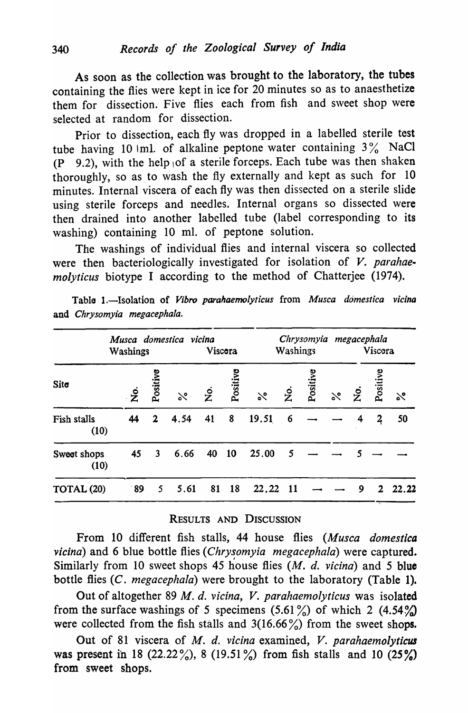As soon as the collection was brought to the laboratory, the tubes containing the flies were kept in ice for 20 minutes so as to anaesthetize them for dissection. Five flies each from fish and sweet shop were selected at random for dissection.

Prior to dissection, each fly was dropped in a labelled sterile test tube having 10 kml. of alkaline peptone water containing  $3\%$  NaCl  $(P \t 9.2)$ , with the help of a sterile forceps. Each tube was then shaken thoroughly, so as to wash the fly externally and kept as such for 10 minutes. Internal viscera of each fly was then dissected on a sterile slide using sterile forceps and needles. Internal organs so dissected were then drained into another labelled tube (label corresponding to its washing) containing 10 ml. of peptone solution.

The washings of individual flies and internal viscera so collected were then bacteriologically investigated for isolation of *V. parahaemolyticus* biotype I according to the method of Chatterjee (1974).

|                     | Musca domestica vicina<br>Washings |             |          | Viscora               |           | Chrysomyia<br>Washings |                    |         |          | megacephala<br>Viscora |                |          |
|---------------------|------------------------------------|-------------|----------|-----------------------|-----------|------------------------|--------------------|---------|----------|------------------------|----------------|----------|
| Site                | $\dot{\mathsf{z}}$                 | Positive    | $\aleph$ | $\dot{\vphantom{1}z}$ | Positive  | $\aleph$               | $\mathbf{\dot{z}}$ | Positiv | $\aleph$ | .<br>Ž                 | Positive       | $\aleph$ |
| Fish stalls<br>(10) | 44                                 | $\mathbf 2$ | 4.54     | 41                    | 8         | 19.51                  | 6                  |         |          |                        | $\overline{a}$ | 50       |
| Sweet shops<br>(10) | 45                                 | 3           | 6.66     | 40                    | <b>10</b> | 25.00                  | 5                  |         |          |                        |                |          |
| TOTAL (20)          | $\cdot$ 89                         | 5           | 5.61     | 81                    | 18        | 22.22                  | -11                |         |          | 9                      | 2              | 22.22    |

Table 1.-Isolation of *Vibro parahaemolyticus* from *Musca domestica vicina* and *Chrysomyia megacephala.* 

## RESULTS AND DISCUSSION

From 10 different fish stalls, 44 house flies *(Musca domestica vicina*) and 6 blue bottle flies (*Chrysomyia megacephala*) were captured. Similarly from 10 sweet shops 45 house flies *(M. d. vicina)* and 5 blue bottle flies *(C. megacephala)* were brought to the laboratory (Table 1).

Out of altogether 89 *M. d. vicina, V. parahaemolyticus* was isolated from the surface washings of 5 specimens  $(5.61\%)$  of which 2  $(4.54\%)$ were collected from the fish stalls and  $3(16.66\%)$  from the sweet shops.

Out of 81 viscera of *M. d. vicina* examined, *V. parahaemolyticus* was present in 18 (22.22%), 8 (19.51%) from fish stalls and 10 (25%) from sweet shops.